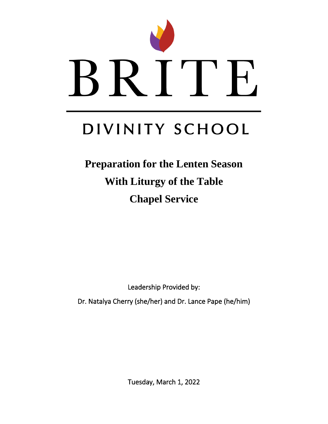

# DIVINITY SCHOOL

**Preparation for the Lenten Season With Liturgy of the Table Chapel Service** 

Leadership Provided by:

Dr. Natalya Cherry (she/her) and Dr. Lance Pape (he/him)

Tuesday, March 1, 2022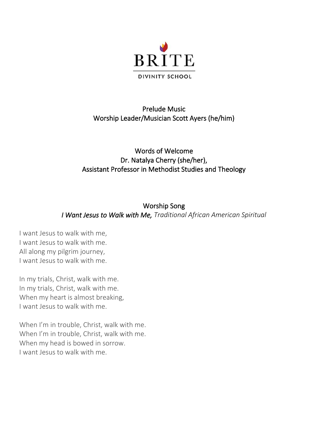

## Prelude Music Worship Leader/Musician Scott Ayers (he/him)

### Words of Welcome Dr. Natalya Cherry (she/her), Assistant Professor in Methodist Studies and Theology

## Worship Song *I Want Jesus to Walk with Me, Traditional African American Spiritual*

I want Jesus to walk with me, I want Jesus to walk with me. All along my pilgrim journey, I want Jesus to walk with me.

In my trials, Christ, walk with me. In my trials, Christ, walk with me. When my heart is almost breaking, I want Jesus to walk with me.

When I'm in trouble, Christ, walk with me. When I'm in trouble, Christ, walk with me. When my head is bowed in sorrow. I want Jesus to walk with me.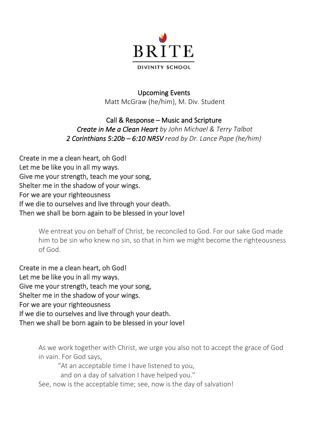

## Upcoming Events Matt McGraw (he/him), M. Div. Student

#### Call & Response – Music and Scripture *Create in Me a Clean Heart by John Michael & Terry Talbot 2 Corinthians 5:20b – 6:10 NRSV read by Dr. Lance Pape (he/him)*

Create in me a clean heart, oh God! Let me be like you in all my ways. Give me your strength, teach me your song, Shelter me in the shadow of your wings. For we are your righteousness If we die to ourselves and live through your death. Then we shall be born again to be blessed in your love!

> We entreat you on behalf of Christ, be reconciled to God. For our sake God made him to be sin who knew no sin, so that in him we might become the righteousness of God.

Create in me a clean heart, oh God! Let me be like you in all my ways. Give me your strength, teach me your song, Shelter me in the shadow of your wings. For we are your righteousness If we die to ourselves and live through your death. Then we shall be born again to be blessed in your love!

> As we work together with Christ, we urge you also not to accept the grace of God in vain. For God says,

"At an acceptable time I have listened to you,

and on a day of salvation I have helped you."

See, now is the acceptable time; see, now is the day of salvation!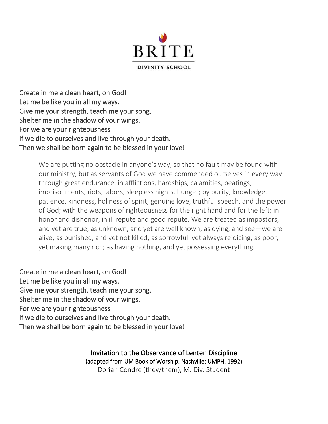

Create in me a clean heart, oh God! Let me be like you in all my ways. Give me your strength, teach me your song, Shelter me in the shadow of your wings. For we are your righteousness If we die to ourselves and live through your death. Then we shall be born again to be blessed in your love!

> We are putting no obstacle in anyone's way, so that no fault may be found with our ministry, but as servants of God we have commended ourselves in every way: through great endurance, in afflictions, hardships, calamities, beatings, imprisonments, riots, labors, sleepless nights, hunger; by purity, knowledge, patience, kindness, holiness of spirit, genuine love, truthful speech, and the power of God; with the weapons of righteousness for the right hand and for the left; in honor and dishonor, in ill repute and good repute. We are treated as impostors, and yet are true; as unknown, and yet are well known; as dying, and see—we are alive; as punished, and yet not killed; as sorrowful, yet always rejoicing; as poor, yet making many rich; as having nothing, and yet possessing everything.

Create in me a clean heart, oh God! Let me be like you in all my ways. Give me your strength, teach me your song, Shelter me in the shadow of your wings. For we are your righteousness If we die to ourselves and live through your death. Then we shall be born again to be blessed in your love!

> Invitation to the Observance of Lenten Discipline (adapted from UM Book of Worship, Nashville: UMPH, 1992) Dorian Condre (they/them), M. Div. Student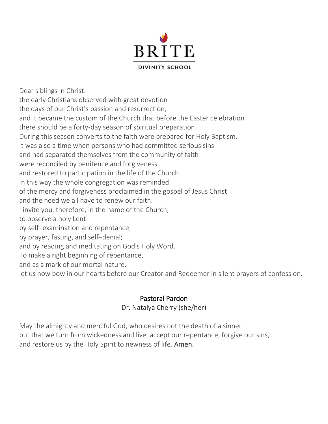

Dear siblings in Christ: the early Christians observed with great devotion the days of our Christ's passion and resurrection, and it became the custom of the Church that before the Easter celebration there should be a forty-day season of spiritual preparation. During this season converts to the faith were prepared for Holy Baptism. It was also a time when persons who had committed serious sins and had separated themselves from the community of faith were reconciled by penitence and forgiveness, and restored to participation in the life of the Church. In this way the whole congregation was reminded of the mercy and forgiveness proclaimed in the gospel of Jesus Christ and the need we all have to renew our faith. I invite you, therefore, in the name of the Church, to observe a holy Lent: by self–examination and repentance; by prayer, fasting, and self–denial; and by reading and meditating on God's Holy Word. To make a right beginning of repentance, and as a mark of our mortal nature,

let us now bow in our hearts before our Creator and Redeemer in silent prayers of confession.

# Pastoral Pardon

Dr. Natalya Cherry (she/her)

May the almighty and merciful God, who desires not the death of a sinner but that we turn from wickedness and live, accept our repentance, forgive our sins, and restore us by the Holy Spirit to newness of life. Amen.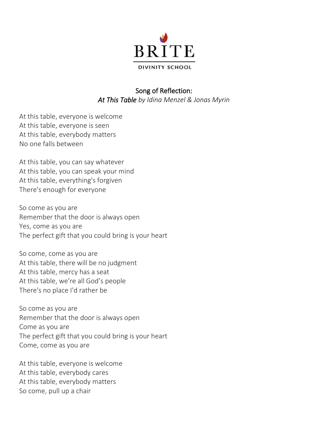

# Song of Reflection:

*At This Table by Idina Menzel & Jonas Myrin*

At this table, everyone is welcome At this table, everyone is seen At this table, everybody matters No one falls between

At this table, you can say whatever At this table, you can speak your mind At this table, everything's forgiven There's enough for everyone

So come as you are Remember that the door is always open Yes, come as you are The perfect gift that you could bring is your heart

So come, come as you are At this table, there will be no judgment At this table, mercy has a seat At this table, we're all God's people There's no place I'd rather be

So come as you are Remember that the door is always open Come as you are The perfect gift that you could bring is your heart Come, come as you are

At this table, everyone is welcome At this table, everybody cares At this table, everybody matters So come, pull up a chair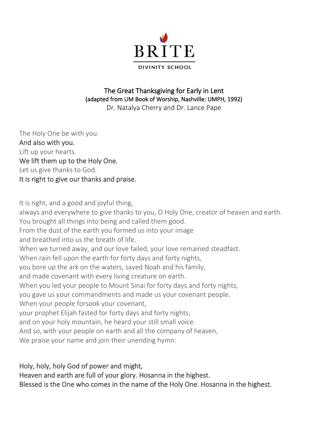

#### The Great Thanksgiving for Early in Lent (adapted from UM Book of Worship, Nashville: UMPH, 1992) Dr. Natalya Cherry and Dr. Lance Pape

The Holy One be with you. And also with you. Lift up your hearts. We lift them up to the Holy One. Let us give thanks to God. It is right to give our thanks and praise.

It is right, and a good and joyful thing, always and everywhere to give thanks to you, O Holy One, creator of heaven and earth. You brought all things into being and called them good. From the dust of the earth you formed us into your image and breathed into us the breath of life. When we turned away, and our love failed, your love remained steadfast. When rain fell upon the earth for forty days and forty nights, you bore up the ark on the waters, saved Noah and his family, and made covenant with every living creature on earth. When you led your people to Mount Sinai for forty days and forty nights, you gave us your commandments and made us your covenant people. When your people forsook your covenant, your prophet Elijah fasted for forty days and forty nights; and on your holy mountain, he heard your still small voice. And so, with your people on earth and all the company of heaven, We praise your name and join their unending hymn:

Holy, holy, holy God of power and might,

Heaven and earth are full of your glory. Hosanna in the highest.

Blessed is the One who comes in the name of the Holy One. Hosanna in the highest.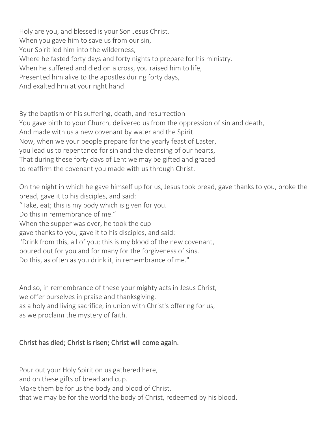Holy are you, and blessed is your Son Jesus Christ. When you gave him to save us from our sin, Your Spirit led him into the wilderness, Where he fasted forty days and forty nights to prepare for his ministry. When he suffered and died on a cross, you raised him to life, Presented him alive to the apostles during forty days, And exalted him at your right hand.

By the baptism of his suffering, death, and resurrection You gave birth to your Church, delivered us from the oppression of sin and death, And made with us a new covenant by water and the Spirit. Now, when we your people prepare for the yearly feast of Easter, you lead us to repentance for sin and the cleansing of our hearts, That during these forty days of Lent we may be gifted and graced to reaffirm the covenant you made with us through Christ.

On the night in which he gave himself up for us, Jesus took bread, gave thanks to you, broke the bread, gave it to his disciples, and said: "Take, eat; this is my body which is given for you.

Do this in remembrance of me."

When the supper was over, he took the cup

gave thanks to you, gave it to his disciples, and said:

"Drink from this, all of you; this is my blood of the new covenant,

poured out for you and for many for the forgiveness of sins.

Do this, as often as you drink it, in remembrance of me."

And so, in remembrance of these your mighty acts in Jesus Christ, we offer ourselves in praise and thanksgiving, as a holy and living sacrifice, in union with Christ's offering for us, as we proclaim the mystery of faith.

## Christ has died; Christ is risen; Christ will come again.

Pour out your Holy Spirit on us gathered here, and on these gifts of bread and cup. Make them be for us the body and blood of Christ, that we may be for the world the body of Christ, redeemed by his blood.